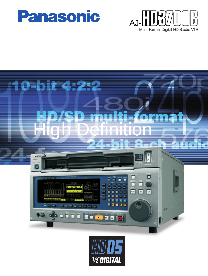





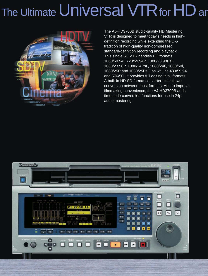# The Ultimate Universal VTR for HD an



The AJ-HD3700B studio-quality HD Mastering VTR is designed to meet today's needs in highdefinition recording while extending the D-5 tradition of high-quality non-compressed standard-definition recording and playback. This single 5U VTR handles HD formats 1080/59.94i, 720/59.94P, 1080/23.98PsF, 1080/23.98P, 1080/24PsF, 1080/24P, 1080/50i, 1080/25P and 1080/25PsF, as well as 480/59.94i and 576/50i. It provides full editing in all formats. A built-in HD-SD format converter also allows conversion between most formats. And to improve filmmaking convenience, the AJ-HD3700B adds time code conversion functions for use in 24p audio mastering.

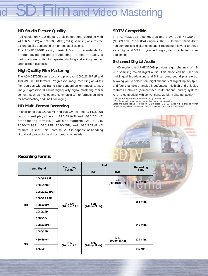### **M** and Video Mastering

#### **HD Studio Picture Quality**

Full-resolution 4:2:2 digital 10-bit component recording with 74.176 MHz (Y) and 37.088 MHz (Pb/Pr) sampling assures the picture quality demanded in high-end applications.

The AJ-HD3700B easily meets HD studio standards for production, editing and broadcasting. Its picture quality is particularly well suited for repeated dubbing and editing, and for large-screen playback.

#### **High Quality Film Mastering**

The AJ-HD3700B can record and play back 1080/23.98PsF and 1080/24PsF HD formats. Progressive image recording of 24-fps film sources without frame rate conversion enhances artistic image expression. It allows high-quality digital mastering of film content, such as movies and commercials, into formats suitable for broadcasting and DVD packaging.

#### **HD Multi-Format Recording**

In addition to 1080/23.98PsF and 1080/24PsF, the AJ-HD3700B records and plays back in 720/59.94P and 1080/50i HD broadcasting formats. It will also supports 1080/59.94i, 1080/23.98P, 1080/24P, 1080/25P, and 1080/25PsF HD formats. In short, this universal VTR is capable of handling virtually all production and post-production needs.

#### **SDTV Compatible**

The AJ-HD3700B also records and plays back 480/59.94i (NTSC) and 576/50i (PAL) signals. The D-5 format's 10-bit, 4:2:2 non-compressed digital component recording allows it to serve as a high-end VTR in your editing system, replacing older equipment.

#### **8-channel Digital Audio**

In HD mode, the AJ-HD3700B provides eight channels of 48 kHz sampling, 24-bit digital audio. This mode can be used for multilingual broadcasting and 5.1 surround sound plus stereo. Allowing you to select from eight channels of digital input/output, and four channels of analog input/output, this high-end unit also features Dolby-E\* (compressed multi-channel audio) system. And it's compatible with conventional 20-bit, 4-channel audio\*\*.

\*Dolby-E is a registered trademark of Dolby Laboratories.

\*\*The 8-channel format and 4-channel format are not compatible.

Video and audio signals recorded on HD D-5 tapes / D-5 (SD) tapes in the 8-channel format cannot be played back by conventional 4ch models, such as the AJ-HD2700.

#### **Recording Format**

| <b>Input Signal</b> |               | Recording<br>Format                | <b>Audio</b>         |                      | Recording<br>Time |
|---------------------|---------------|------------------------------------|----------------------|----------------------|-------------------|
|                     |               |                                    | 8CH                  | 4CH                  |                   |
|                     | 1080/59.94i   |                                    |                      | 4ch                  | 124 min.          |
|                     | 720/59.94P    |                                    | 8ch<br>(24bit/48kHz) | (20bit/48kHz)        |                   |
|                     | 1080/23.98PsF |                                    |                      |                      |                   |
|                     | 1080/23.98P   | HD D <sub>5</sub><br>(10bit 4:2:2) |                      |                      | 155 min.          |
| <b>HD</b>           | 1080/24PsF    |                                    |                      |                      |                   |
|                     | 1080/24P      |                                    |                      |                      |                   |
|                     | 1080/50i      |                                    |                      |                      |                   |
|                     | 1080/25PsF    |                                    |                      |                      | 149 min.          |
|                     | 1080/25P      |                                    |                      |                      |                   |
| <b>SD</b>           | 480/59.94i    | $D-5$                              | 8ch<br>(24bit/48kHz) | 4ch<br>(20bit/48kHz) | 124 min.          |
|                     | 576/50i       | (10bit 4:2:2)                      |                      |                      | 112min.           |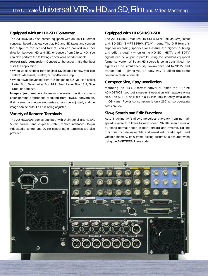#### **Equipped with an HD-SD Converter**

The AJ-HD3700B also comes equipped with an HD-SD format converter board that lets you play HD and SD tapes and convert the output to the desired format. You can convert in either direction between HD and SD, or convert from 24p to HD. You can also perform the following conversions or adjustments.

**Aspect ratio conversion:** Convert to the aspect ratio that best suits the application.

- When up-converting from original SD images to HD, you can select Side Panel, Stretch, or Top/Bottom Crop.
- When down-converting from HD images to SD, you can select Letter Box, Semi Letter Box 14:9, Semi Letter Box 13:9, Side Crop, or Squeeze.

**Image adjustment:** A colorimetry conversion function corrects color gamma differences resulting from HD/SD conversion. Gain, set-up, and edge emphasis can also be adjusted, and the image can be output as it is being adjusted.

#### **Variety of Remote Terminals**

The AJ-HD3700B comes standard with 9-pin serial (RS-422A), 50-pin parallel, and 25-pin RS-232C remote interfaces. 15-pin video/audio control and 20-pin control panel terminals are also provided.

#### **Equipped with HD-SDI/SD-SDI**

The AJ-HD3700B features HD-SDI (SMPTE291M/292M) in/out and SD-SDI (SMPTE259M/272M) in/out. The D-5 format's superior recording specifications assure the highest dubbing and editing quality when using HD-SDI. HDTV and SDTV signals can be output in parallel using the standard equipped format converter. While an HD source is being transmitted, the signal can be simultaneously down-converted to SDTV and transmitted — giving you an easy way to utilize the same content in multiple formats.

#### **Compact Size, Easy Installation**

Mounting the HD-SD format converter inside the 5U-size AJ-HD3700B, you get single-unit operation with space-saving size. The AJ-HD3700B fits in a 19-inch rack for easy installation in OB vans. Power consumption is only 260 W, so operating costs are low.

#### **Slow, Search and Edit Functions**

Auto Tracking (AT) allows noiseless playback from normalspeed reverse to 2 times forward speed. Shuttle search runs at 50 times normal speed in both forward and reverse. Editing functions include assemble and insert edit, audio split, and variable memory. Its 0-frame editing accuracy is assured when using the SMPTE/EBU time code.

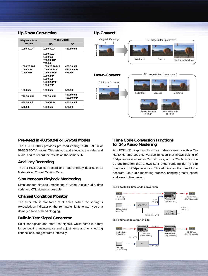#### **Up-Down Conversion**

| <b>Playback Tape</b>                | <b>Video Output</b>                                                                                                                              |                                     |  |  |
|-------------------------------------|--------------------------------------------------------------------------------------------------------------------------------------------------|-------------------------------------|--|--|
| Format                              | HD                                                                                                                                               | SD                                  |  |  |
| 1080/59.94i                         | 1080/59.94i                                                                                                                                      | 480/59.94i                          |  |  |
| 1080/23.98P<br>1080/24P<br>1080/25P | 1080/59.94i<br>1080/60i<br>720/59.94P<br>720/60p<br>1080/23.98PsF<br>1080/23.98P<br>1080/24PsF<br>1080/24P<br>1080/50i<br>1080/25PsF<br>1080/25P | 480/59.94i<br>480/59.94P<br>576/50i |  |  |
| 1080/50i                            | 1080/50i                                                                                                                                         | 576/50i                             |  |  |
| 720/59.94P                          | 720/59.94P                                                                                                                                       | 480/59.94i<br>480/59.94P            |  |  |
| 480/59.94i                          | 1080/59.94i                                                                                                                                      | 480/59.94i                          |  |  |
| 576/50i                             | 1080/50i                                                                                                                                         | 576/50i                             |  |  |

#### **Up-Convert**



#### **Pre-Read in 480/59.94i or 576/50i Modes**

The AJ-HD3700B provides pre-read editing in 480/59.94i or 576/50i SDTV modes. This lets you add effects to the video and audio, and re-record the results on the same VTR.

#### **Ancillary Recording**

The AJ-HD3700B can record and read ancillary data such as Metadata or Closed Caption Data.

#### **Simultaneous Playback Monitoring**

Simultaneous playback monitoring of video, digital audio, time code and CTL signals is possible.

#### **Channel Condition Monitor**

The error rate is monitored at all times. When the setting is exceeded, an indicator on the front panel lights to warn you of a damaged tape or head clogging.

#### **Built-in Test Signal Generator**

Color bar signals and other test signals, which come in handy for conducting maintenance and adjustments and for checking connections, are generated internally.

#### **Time Code Conversion Functions for 24p Audio Mastering**

AJ-HD3700B responds to movie industry needs with a 24- Hz/30-Hz time code conversion function that allows editing of 30-fps audio sources for 24p film use, and a 25-Hz time code output function that allows DAT synchronizing during 24p playback of 25-fps sources. This eliminates the need for a separate 24p audio mastering process, bringing greater speed and ease to filmmaking.

#### **24-Hz to 30-Hz time code conversion**



#### **25-Hz time code output in 24p**

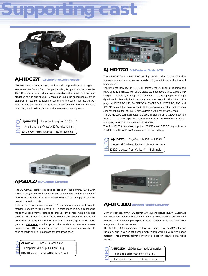# **Supporting cast**



#### **AJ-HDC27F Variable-Frame Camera/Recorder**

This HD cinema camera shoots and records progressive scan images at any frame rate from 4 fps to 60 fps, including 24 fps. It also includes the Cine Gamma function, which gives recordings the same tone and rich gradation as film and allows HD recording using the speed effects of film cameras. In addition to lowering costs and improving mobility, the AJ-HDC27F lets you create a wide range of HD content, including episodic television, music videos, DVDs, and Internet new-media projects.

| AJ-HDC27F                                          | Three 1-million-pixel IT CCDs |                |  |
|----------------------------------------------------|-------------------------------|----------------|--|
| Multi frame rate of 4-fps to 60-fps include 24-fps |                               |                |  |
| 1280 x 720 progressive scan                        |                               | f12 @ 2000 lux |  |



#### **AJ-HD1700 Full-Featured Studio VTR**

The AJ-HD1700 is a DVCPRO HD high-end studio master VTR that answers today's most advanced needs in high-definition production and broadcasting.

Featuring the new DVCPRO HD-LP format, the AJ-HD1700 records and plays up to 126 minutes with an XL cassette. It can record three types of HD images — 1080/60i, 720/60p, and 1080/50i — and is equipped with eight digital audio channels for 5.1-channel surround sound. The AJ-HD1700 plays all DVCPRO HD, DVCPRO50, DVCPRO P, DVCPRO, DV, and DVCAM tapes. It has an advanced HD-SD conversion function that provides simultaneous output of HD/SD signals from a wide variety of sources.

The AJ-HD1700 can even output a 1080/24p signal from a 720/24p over 60 VARICAM source tape for convenient editing in 1080/24p such as mastering to HD-D5 on the AJ-HD3700B VTR.

The AJ-HD1700 can also output a 1080/25p and 576/50i signal from a 720/50p over 60 VARICAM source tape for PAL editing.

| AJ-HD1700 | Plays/Records 720p and 1080i                     |            |
|-----------|--------------------------------------------------|------------|
|           | Playback all DV-based formats   2-hour rec. time |            |
|           | 1080/24p output from Varicam™                    | 8-ch audio |



#### **AJ-GBX27 HD Gamma Corrector**

The AJ-GBX27 corrects images recorded in cine gamma (VARICAM F.REC mode) for converting monitor and content data, and for a variety of other uses. The AJ-GBX27 is extremely easy to use -- simply choose the desired correction mode.

Field mode corrects low-contrast F.REC gamma images, and outputs monitor images with full film texture. Telecine mode is a post-processing mode that uses movie footage to produce TV content with a film-like texture. The Video Rec and Video modes are simulation modes for converting images with F.REC gamma to V.REC gamma or video gamma. CG mode is a film production mode that reverse-converts images into F.REC images after they were previously converted to ALHDC27F Three 1-million-pixel IT CCDs<br>
Multi frame rate of 4-fps to 60-fps include 24-fps<br>
1280 x 720 progressive scan f12 @ 2000 lux<br> **CO-Production EXEC 1000 lux**<br> **CO-PROP**<br> **CO-PROP**<br> **CO-PROP**<br> **CO-PROPERTY CO-PROPER** 

| AJ-GBX27                              | 12V DC power supply     |  |
|---------------------------------------|-------------------------|--|
| Compatible with 720p, 1080i and 1080p |                         |  |
| HD-SDI in/out                         | Analog HD (Y/Pb/Pr) out |  |



#### **AJ-UFC1800 Universal Format Converter**

Convert between any ATSC format with superb picture quality. Automatic time code conversion and 8-channel audio processing/delay are standard features. Variable/multiple aspect ratio conversion is built-in along with image and color enhancement.

The AJ-UFC1800 accommodates slow-PAL operation with its 3:2 pull-down function, and is a perfect complement when working with film-based material. This universal format converter is ideal for today's digital video facilities.

|                                      |  | AJ-UFC1800 16:9/4:3 aspect ratio conversion |  |
|--------------------------------------|--|---------------------------------------------|--|
| Selectable color matrix for HD or SD |  |                                             |  |
| GPI activated presets                |  | 3U rack mount                               |  |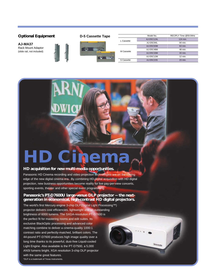#### **Optional Equipment D-5 Cassette Tape** Model No. REC/PLY Time @59.94Hz AJ-D5C124L 124 min. L Cassette AJ-D5C94L 94 min. **AJ-MA37**  AJ-D5C63M 63 min. Rack Mount Adaptor ю AJ-D5C48M 48 min. (slide rail, not included) M Cassette AJ-D5C33M 33 min. AJ-D5C12M 12 min. S Cassette AJ-D5C23S 23 min.

## **Cinem**

#### **HD acquisition for new multi-media opportunities.**

Panasonic HD Cinema recording and video projection technologies are on the cutting edge of the new digital cinema era. By combining HD digital acquisition with HD digital projection, new business opportunities become reality for live pay-per-view concerts, sporting events, theater and other special event programming.

#### **Panasonic's PT-D7600U large-venue DLP projector -- the nextgeneration in economical, high-contrast HD digital projectors.**

**Dramatic** 

The world's first Mercury engine 3-chip DLP(Digital Light Processing™) projector delivers cost efficiencies, lightweight and an outstanding brightness of 6000 lumens. The SXGA-resolution PT-D7600 is the perfect fit for mastering rooms and edit suites. Its exclusive BlackOptic processing and advanced color matching combine to deliver a cinema-quality 1000:1 contrast ratio and perfectly-matched, brilliant colors. The 44-pound PT-D7600 produces high image quality over a long time thanks to its powerful, dust-free Liquid-cooled Light Engine. Also available is the PT-D7500, a 5,000 ANSI lumens bright, XGA resolution 3-chip DLP projector with the same great features. \*DLP is a trademark of Texas Instruments.